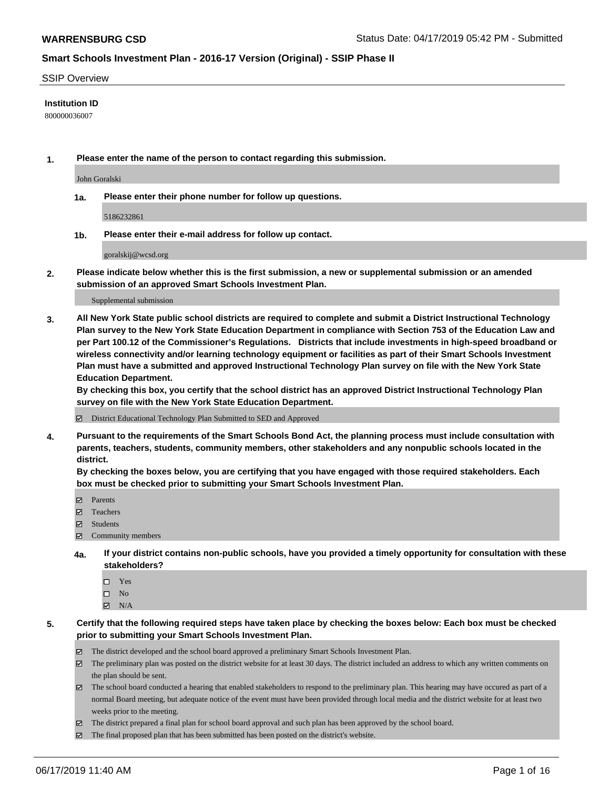#### SSIP Overview

#### **Institution ID**

800000036007

**1. Please enter the name of the person to contact regarding this submission.**

John Goralski

**1a. Please enter their phone number for follow up questions.**

5186232861

**1b. Please enter their e-mail address for follow up contact.**

goralskij@wcsd.org

**2. Please indicate below whether this is the first submission, a new or supplemental submission or an amended submission of an approved Smart Schools Investment Plan.**

#### Supplemental submission

**3. All New York State public school districts are required to complete and submit a District Instructional Technology Plan survey to the New York State Education Department in compliance with Section 753 of the Education Law and per Part 100.12 of the Commissioner's Regulations. Districts that include investments in high-speed broadband or wireless connectivity and/or learning technology equipment or facilities as part of their Smart Schools Investment Plan must have a submitted and approved Instructional Technology Plan survey on file with the New York State Education Department.** 

**By checking this box, you certify that the school district has an approved District Instructional Technology Plan survey on file with the New York State Education Department.**

District Educational Technology Plan Submitted to SED and Approved

**4. Pursuant to the requirements of the Smart Schools Bond Act, the planning process must include consultation with parents, teachers, students, community members, other stakeholders and any nonpublic schools located in the district.** 

**By checking the boxes below, you are certifying that you have engaged with those required stakeholders. Each box must be checked prior to submitting your Smart Schools Investment Plan.**

- Parents
- Teachers
- Students
- Community members
- **4a. If your district contains non-public schools, have you provided a timely opportunity for consultation with these stakeholders?**
	- □ Yes
	- $\square$  No
	- $N/A$
- **5. Certify that the following required steps have taken place by checking the boxes below: Each box must be checked prior to submitting your Smart Schools Investment Plan.**
	- The district developed and the school board approved a preliminary Smart Schools Investment Plan.
	- $\boxtimes$  The preliminary plan was posted on the district website for at least 30 days. The district included an address to which any written comments on the plan should be sent.
	- $\boxtimes$  The school board conducted a hearing that enabled stakeholders to respond to the preliminary plan. This hearing may have occured as part of a normal Board meeting, but adequate notice of the event must have been provided through local media and the district website for at least two weeks prior to the meeting.
	- The district prepared a final plan for school board approval and such plan has been approved by the school board.
	- $\boxtimes$  The final proposed plan that has been submitted has been posted on the district's website.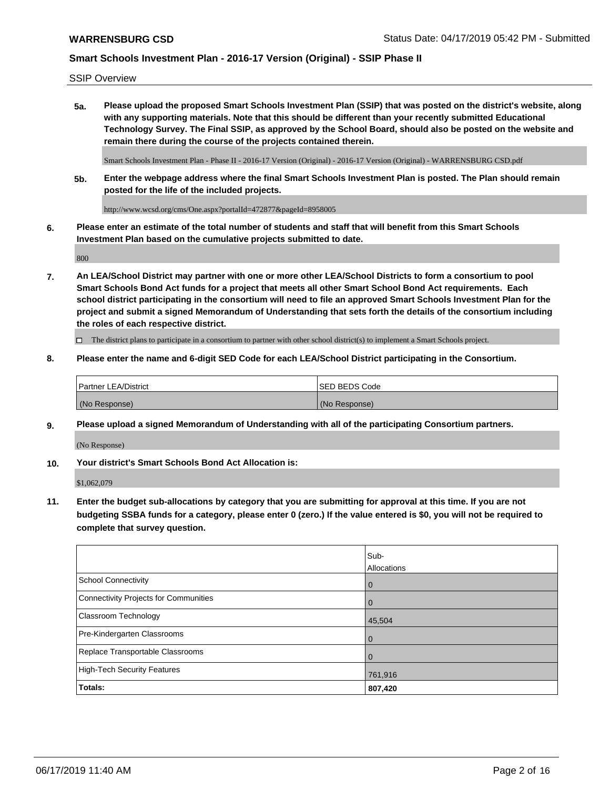SSIP Overview

**5a. Please upload the proposed Smart Schools Investment Plan (SSIP) that was posted on the district's website, along with any supporting materials. Note that this should be different than your recently submitted Educational Technology Survey. The Final SSIP, as approved by the School Board, should also be posted on the website and remain there during the course of the projects contained therein.**

Smart Schools Investment Plan - Phase II - 2016-17 Version (Original) - 2016-17 Version (Original) - WARRENSBURG CSD.pdf

**5b. Enter the webpage address where the final Smart Schools Investment Plan is posted. The Plan should remain posted for the life of the included projects.**

http://www.wcsd.org/cms/One.aspx?portalId=472877&pageId=8958005

**6. Please enter an estimate of the total number of students and staff that will benefit from this Smart Schools Investment Plan based on the cumulative projects submitted to date.**

800

**7. An LEA/School District may partner with one or more other LEA/School Districts to form a consortium to pool Smart Schools Bond Act funds for a project that meets all other Smart School Bond Act requirements. Each school district participating in the consortium will need to file an approved Smart Schools Investment Plan for the project and submit a signed Memorandum of Understanding that sets forth the details of the consortium including the roles of each respective district.**

 $\Box$  The district plans to participate in a consortium to partner with other school district(s) to implement a Smart Schools project.

#### **8. Please enter the name and 6-digit SED Code for each LEA/School District participating in the Consortium.**

| <b>Partner LEA/District</b> | <b>ISED BEDS Code</b> |
|-----------------------------|-----------------------|
| (No Response)               | (No Response)         |

#### **9. Please upload a signed Memorandum of Understanding with all of the participating Consortium partners.**

(No Response)

**10. Your district's Smart Schools Bond Act Allocation is:**

\$1,062,079

**11. Enter the budget sub-allocations by category that you are submitting for approval at this time. If you are not budgeting SSBA funds for a category, please enter 0 (zero.) If the value entered is \$0, you will not be required to complete that survey question.**

|                                       | Sub-<br>Allocations |
|---------------------------------------|---------------------|
| <b>School Connectivity</b>            | $\mathbf 0$         |
| Connectivity Projects for Communities | $\overline{0}$      |
| <b>Classroom Technology</b>           | 45,504              |
| Pre-Kindergarten Classrooms           | $\overline{0}$      |
| Replace Transportable Classrooms      | $\Omega$            |
| High-Tech Security Features           | 761,916             |
| Totals:                               | 807,420             |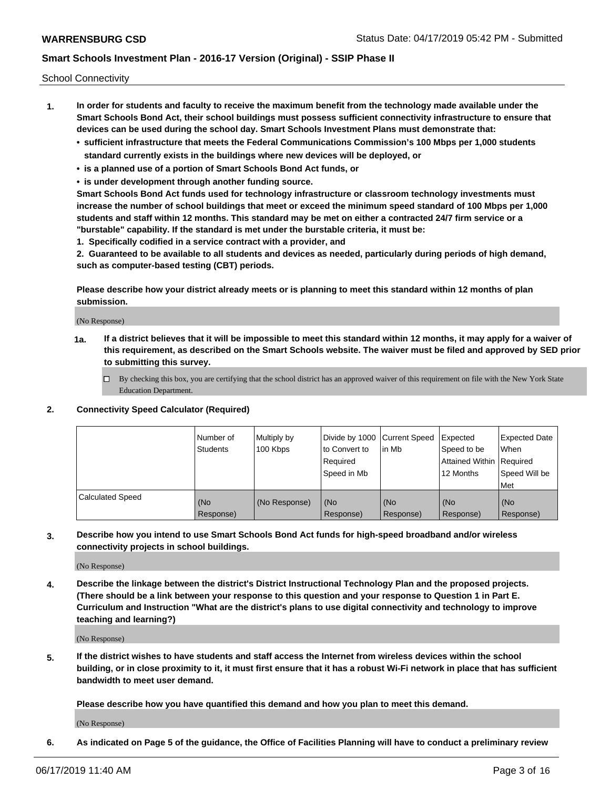School Connectivity

- **1. In order for students and faculty to receive the maximum benefit from the technology made available under the Smart Schools Bond Act, their school buildings must possess sufficient connectivity infrastructure to ensure that devices can be used during the school day. Smart Schools Investment Plans must demonstrate that:**
	- **• sufficient infrastructure that meets the Federal Communications Commission's 100 Mbps per 1,000 students standard currently exists in the buildings where new devices will be deployed, or**
	- **• is a planned use of a portion of Smart Schools Bond Act funds, or**
	- **• is under development through another funding source.**

**Smart Schools Bond Act funds used for technology infrastructure or classroom technology investments must increase the number of school buildings that meet or exceed the minimum speed standard of 100 Mbps per 1,000 students and staff within 12 months. This standard may be met on either a contracted 24/7 firm service or a "burstable" capability. If the standard is met under the burstable criteria, it must be:**

**1. Specifically codified in a service contract with a provider, and**

**2. Guaranteed to be available to all students and devices as needed, particularly during periods of high demand, such as computer-based testing (CBT) periods.**

**Please describe how your district already meets or is planning to meet this standard within 12 months of plan submission.**

(No Response)

**1a. If a district believes that it will be impossible to meet this standard within 12 months, it may apply for a waiver of this requirement, as described on the Smart Schools website. The waiver must be filed and approved by SED prior to submitting this survey.**

 $\Box$  By checking this box, you are certifying that the school district has an approved waiver of this requirement on file with the New York State Education Department.

#### **2. Connectivity Speed Calculator (Required)**

|                         | l Number of<br>Students | Multiply by<br>100 Kbps | Divide by 1000 Current Speed<br>to Convert to<br>Required<br>l Speed in Mb | lin Mb           | Expected<br>Speed to be<br>Attained Within   Required<br>12 Months | <b>Expected Date</b><br>When<br>Speed Will be<br>Met |
|-------------------------|-------------------------|-------------------------|----------------------------------------------------------------------------|------------------|--------------------------------------------------------------------|------------------------------------------------------|
| <b>Calculated Speed</b> | (No<br>Response)        | (No Response)           | (No<br>Response)                                                           | (No<br>Response) | (No<br>Response)                                                   | (No<br>Response)                                     |

**3. Describe how you intend to use Smart Schools Bond Act funds for high-speed broadband and/or wireless connectivity projects in school buildings.**

(No Response)

**4. Describe the linkage between the district's District Instructional Technology Plan and the proposed projects. (There should be a link between your response to this question and your response to Question 1 in Part E. Curriculum and Instruction "What are the district's plans to use digital connectivity and technology to improve teaching and learning?)**

(No Response)

**5. If the district wishes to have students and staff access the Internet from wireless devices within the school building, or in close proximity to it, it must first ensure that it has a robust Wi-Fi network in place that has sufficient bandwidth to meet user demand.**

**Please describe how you have quantified this demand and how you plan to meet this demand.**

(No Response)

**6. As indicated on Page 5 of the guidance, the Office of Facilities Planning will have to conduct a preliminary review**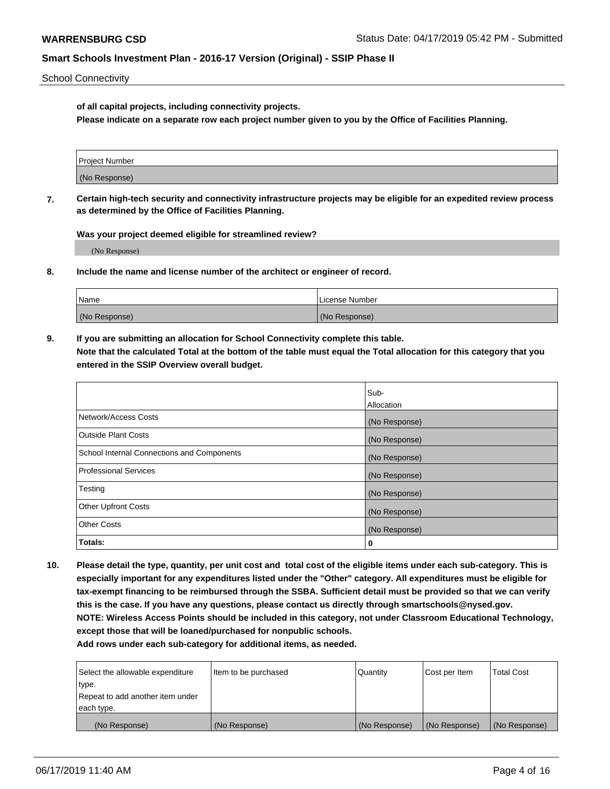School Connectivity

**of all capital projects, including connectivity projects.**

**Please indicate on a separate row each project number given to you by the Office of Facilities Planning.**

| Project Number |  |
|----------------|--|
|                |  |
|                |  |
| (No Response)  |  |
|                |  |

**7. Certain high-tech security and connectivity infrastructure projects may be eligible for an expedited review process as determined by the Office of Facilities Planning.**

**Was your project deemed eligible for streamlined review?**

(No Response)

**8. Include the name and license number of the architect or engineer of record.**

| Name          | License Number |
|---------------|----------------|
| (No Response) | (No Response)  |

**9. If you are submitting an allocation for School Connectivity complete this table. Note that the calculated Total at the bottom of the table must equal the Total allocation for this category that you entered in the SSIP Overview overall budget.** 

|                                            | Sub-          |
|--------------------------------------------|---------------|
|                                            | Allocation    |
| Network/Access Costs                       | (No Response) |
| Outside Plant Costs                        | (No Response) |
| School Internal Connections and Components | (No Response) |
| <b>Professional Services</b>               | (No Response) |
| Testing                                    | (No Response) |
| <b>Other Upfront Costs</b>                 | (No Response) |
| <b>Other Costs</b>                         | (No Response) |
| Totals:                                    | 0             |

**10. Please detail the type, quantity, per unit cost and total cost of the eligible items under each sub-category. This is especially important for any expenditures listed under the "Other" category. All expenditures must be eligible for tax-exempt financing to be reimbursed through the SSBA. Sufficient detail must be provided so that we can verify this is the case. If you have any questions, please contact us directly through smartschools@nysed.gov. NOTE: Wireless Access Points should be included in this category, not under Classroom Educational Technology, except those that will be loaned/purchased for nonpublic schools.**

| Select the allowable expenditure | Item to be purchased | Quantity      | <b>Cost per Item</b> | <b>Total Cost</b> |
|----------------------------------|----------------------|---------------|----------------------|-------------------|
| type.                            |                      |               |                      |                   |
| Repeat to add another item under |                      |               |                      |                   |
| each type.                       |                      |               |                      |                   |
| (No Response)                    | (No Response)        | (No Response) | (No Response)        | (No Response)     |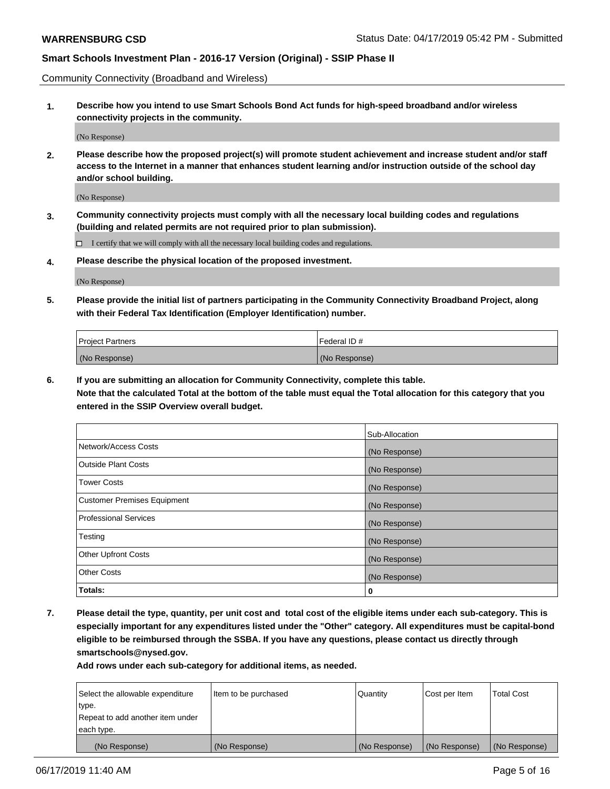Community Connectivity (Broadband and Wireless)

**1. Describe how you intend to use Smart Schools Bond Act funds for high-speed broadband and/or wireless connectivity projects in the community.**

(No Response)

**2. Please describe how the proposed project(s) will promote student achievement and increase student and/or staff access to the Internet in a manner that enhances student learning and/or instruction outside of the school day and/or school building.**

(No Response)

**3. Community connectivity projects must comply with all the necessary local building codes and regulations (building and related permits are not required prior to plan submission).**

 $\Box$  I certify that we will comply with all the necessary local building codes and regulations.

**4. Please describe the physical location of the proposed investment.**

(No Response)

**5. Please provide the initial list of partners participating in the Community Connectivity Broadband Project, along with their Federal Tax Identification (Employer Identification) number.**

| <b>Project Partners</b> | l Federal ID # |
|-------------------------|----------------|
| (No Response)           | (No Response)  |

**6. If you are submitting an allocation for Community Connectivity, complete this table.**

**Note that the calculated Total at the bottom of the table must equal the Total allocation for this category that you entered in the SSIP Overview overall budget.**

|                                    | Sub-Allocation |
|------------------------------------|----------------|
| Network/Access Costs               | (No Response)  |
| <b>Outside Plant Costs</b>         | (No Response)  |
| <b>Tower Costs</b>                 | (No Response)  |
| <b>Customer Premises Equipment</b> | (No Response)  |
| <b>Professional Services</b>       | (No Response)  |
| Testing                            | (No Response)  |
| <b>Other Upfront Costs</b>         | (No Response)  |
| <b>Other Costs</b>                 | (No Response)  |
| Totals:                            | 0              |

**7. Please detail the type, quantity, per unit cost and total cost of the eligible items under each sub-category. This is especially important for any expenditures listed under the "Other" category. All expenditures must be capital-bond eligible to be reimbursed through the SSBA. If you have any questions, please contact us directly through smartschools@nysed.gov.**

| Select the allowable expenditure | Item to be purchased | Quantity      | Cost per Item | <b>Total Cost</b> |
|----------------------------------|----------------------|---------------|---------------|-------------------|
| type.                            |                      |               |               |                   |
| Repeat to add another item under |                      |               |               |                   |
| each type.                       |                      |               |               |                   |
| (No Response)                    | (No Response)        | (No Response) | (No Response) | (No Response)     |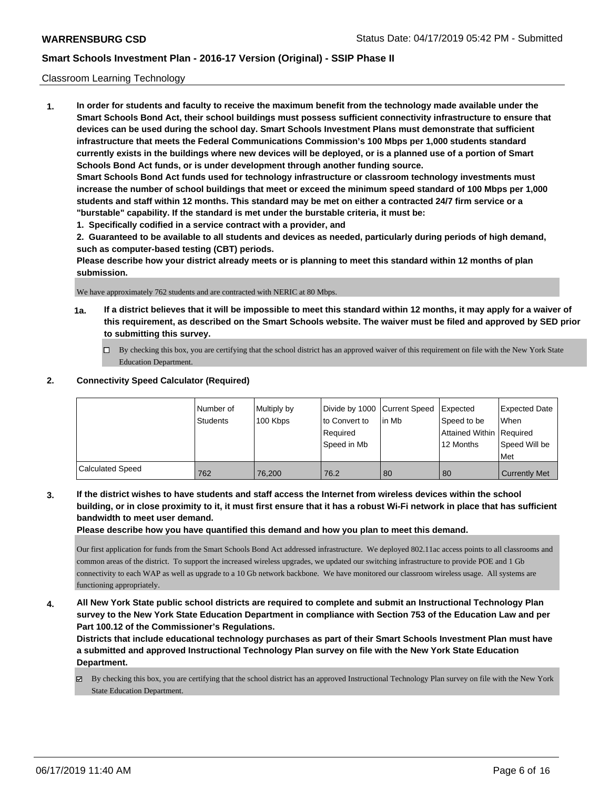#### Classroom Learning Technology

**1. In order for students and faculty to receive the maximum benefit from the technology made available under the Smart Schools Bond Act, their school buildings must possess sufficient connectivity infrastructure to ensure that devices can be used during the school day. Smart Schools Investment Plans must demonstrate that sufficient infrastructure that meets the Federal Communications Commission's 100 Mbps per 1,000 students standard currently exists in the buildings where new devices will be deployed, or is a planned use of a portion of Smart Schools Bond Act funds, or is under development through another funding source. Smart Schools Bond Act funds used for technology infrastructure or classroom technology investments must increase the number of school buildings that meet or exceed the minimum speed standard of 100 Mbps per 1,000 students and staff within 12 months. This standard may be met on either a contracted 24/7 firm service or a "burstable" capability. If the standard is met under the burstable criteria, it must be:**

**1. Specifically codified in a service contract with a provider, and**

**2. Guaranteed to be available to all students and devices as needed, particularly during periods of high demand, such as computer-based testing (CBT) periods.**

**Please describe how your district already meets or is planning to meet this standard within 12 months of plan submission.**

We have approximately 762 students and are contracted with NERIC at 80 Mbps.

- **1a. If a district believes that it will be impossible to meet this standard within 12 months, it may apply for a waiver of this requirement, as described on the Smart Schools website. The waiver must be filed and approved by SED prior to submitting this survey.**
	- By checking this box, you are certifying that the school district has an approved waiver of this requirement on file with the New York State Education Department.

#### **2. Connectivity Speed Calculator (Required)**

|                         | Number of<br>Students | Multiply by<br>100 Kbps | Divide by 1000 Current Speed<br>to Convert to<br>Required<br>Speed in Mb | lin Mb | <b>I</b> Expected<br>Speed to be<br>Attained Within Required<br>12 Months | Expected Date<br><b>When</b><br>Speed Will be<br><b>Met</b> |
|-------------------------|-----------------------|-------------------------|--------------------------------------------------------------------------|--------|---------------------------------------------------------------------------|-------------------------------------------------------------|
| <b>Calculated Speed</b> | 762                   | 76.200                  | 76.2                                                                     | 80     | -80                                                                       | <b>Currently Met</b>                                        |

**3. If the district wishes to have students and staff access the Internet from wireless devices within the school building, or in close proximity to it, it must first ensure that it has a robust Wi-Fi network in place that has sufficient bandwidth to meet user demand.**

**Please describe how you have quantified this demand and how you plan to meet this demand.**

Our first application for funds from the Smart Schools Bond Act addressed infrastructure. We deployed 802.11ac access points to all classrooms and common areas of the district. To support the increased wireless upgrades, we updated our switching infrastructure to provide POE and 1 Gb connectivity to each WAP as well as upgrade to a 10 Gb network backbone. We have monitored our classroom wireless usage. All systems are functioning appropriately.

**4. All New York State public school districts are required to complete and submit an Instructional Technology Plan survey to the New York State Education Department in compliance with Section 753 of the Education Law and per Part 100.12 of the Commissioner's Regulations.**

**Districts that include educational technology purchases as part of their Smart Schools Investment Plan must have a submitted and approved Instructional Technology Plan survey on file with the New York State Education Department.**

By checking this box, you are certifying that the school district has an approved Instructional Technology Plan survey on file with the New York State Education Department.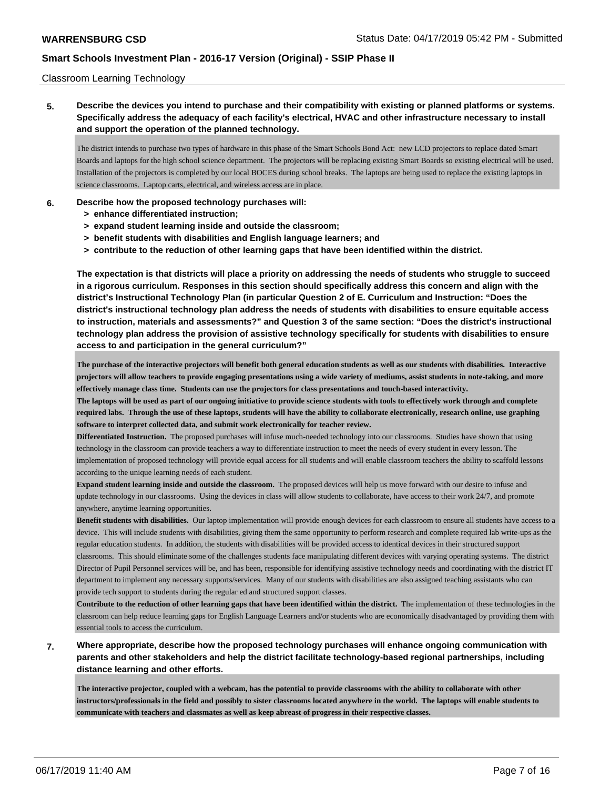#### Classroom Learning Technology

**5. Describe the devices you intend to purchase and their compatibility with existing or planned platforms or systems. Specifically address the adequacy of each facility's electrical, HVAC and other infrastructure necessary to install and support the operation of the planned technology.**

The district intends to purchase two types of hardware in this phase of the Smart Schools Bond Act: new LCD projectors to replace dated Smart Boards and laptops for the high school science department. The projectors will be replacing existing Smart Boards so existing electrical will be used. Installation of the projectors is completed by our local BOCES during school breaks. The laptops are being used to replace the existing laptops in science classrooms. Laptop carts, electrical, and wireless access are in place.

#### **6. Describe how the proposed technology purchases will:**

- **> enhance differentiated instruction;**
- **> expand student learning inside and outside the classroom;**
- **> benefit students with disabilities and English language learners; and**
- **> contribute to the reduction of other learning gaps that have been identified within the district.**

**The expectation is that districts will place a priority on addressing the needs of students who struggle to succeed in a rigorous curriculum. Responses in this section should specifically address this concern and align with the district's Instructional Technology Plan (in particular Question 2 of E. Curriculum and Instruction: "Does the district's instructional technology plan address the needs of students with disabilities to ensure equitable access to instruction, materials and assessments?" and Question 3 of the same section: "Does the district's instructional technology plan address the provision of assistive technology specifically for students with disabilities to ensure access to and participation in the general curriculum?"**

**The purchase of the interactive projectors will benefit both general education students as well as our students with disabilities. Interactive projectors will allow teachers to provide engaging presentations using a wide variety of mediums, assist students in note-taking, and more effectively manage class time. Students can use the projectors for class presentations and touch-based interactivity.**

**The laptops will be used as part of our ongoing initiative to provide science students with tools to effectively work through and complete required labs. Through the use of these laptops, students will have the ability to collaborate electronically, research online, use graphing software to interpret collected data, and submit work electronically for teacher review.**

**Differentiated Instruction.** The proposed purchases will infuse much-needed technology into our classrooms. Studies have shown that using technology in the classroom can provide teachers a way to differentiate instruction to meet the needs of every student in every lesson. The implementation of proposed technology will provide equal access for all students and will enable classroom teachers the ability to scaffold lessons according to the unique learning needs of each student.

**Expand student learning inside and outside the classroom.** The proposed devices will help us move forward with our desire to infuse and update technology in our classrooms. Using the devices in class will allow students to collaborate, have access to their work 24/7, and promote anywhere, anytime learning opportunities.

**Benefit students with disabilities.** Our laptop implementation will provide enough devices for each classroom to ensure all students have access to a device. This will include students with disabilities, giving them the same opportunity to perform research and complete required lab write-ups as the regular education students. In addition, the students with disabilities will be provided access to identical devices in their structured support classrooms. This should eliminate some of the challenges students face manipulating different devices with varying operating systems. The district Director of Pupil Personnel services will be, and has been, responsible for identifying assistive technology needs and coordinating with the district IT department to implement any necessary supports/services. Many of our students with disabilities are also assigned teaching assistants who can provide tech support to students during the regular ed and structured support classes.

**Contribute to the reduction of other learning gaps that have been identified within the district.** The implementation of these technologies in the classroom can help reduce learning gaps for English Language Learners and/or students who are economically disadvantaged by providing them with essential tools to access the curriculum.

**7. Where appropriate, describe how the proposed technology purchases will enhance ongoing communication with parents and other stakeholders and help the district facilitate technology-based regional partnerships, including distance learning and other efforts.**

**The interactive projector, coupled with a webcam, has the potential to provide classrooms with the ability to collaborate with other instructors/professionals in the field and possibly to sister classrooms located anywhere in the world. The laptops will enable students to communicate with teachers and classmates as well as keep abreast of progress in their respective classes.**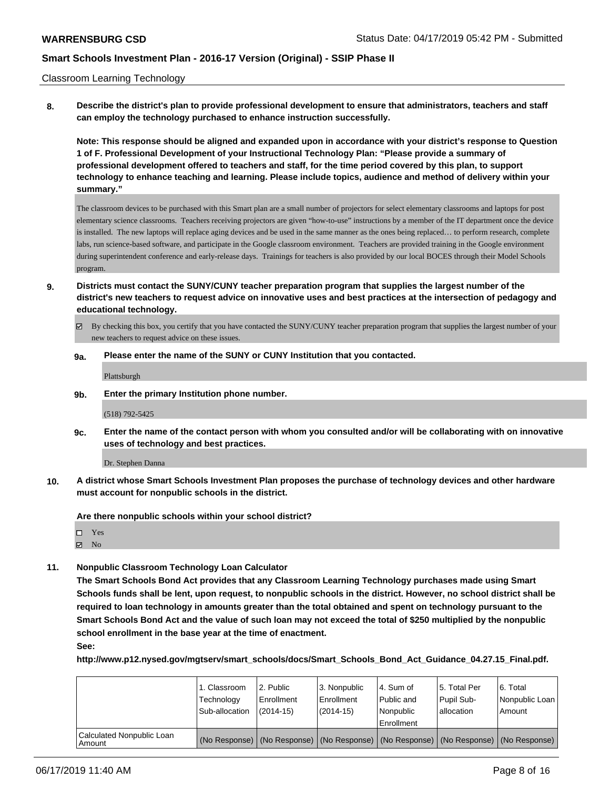#### Classroom Learning Technology

**8. Describe the district's plan to provide professional development to ensure that administrators, teachers and staff can employ the technology purchased to enhance instruction successfully.**

**Note: This response should be aligned and expanded upon in accordance with your district's response to Question 1 of F. Professional Development of your Instructional Technology Plan: "Please provide a summary of professional development offered to teachers and staff, for the time period covered by this plan, to support technology to enhance teaching and learning. Please include topics, audience and method of delivery within your summary."**

The classroom devices to be purchased with this Smart plan are a small number of projectors for select elementary classrooms and laptops for post elementary science classrooms. Teachers receiving projectors are given "how-to-use" instructions by a member of the IT department once the device is installed. The new laptops will replace aging devices and be used in the same manner as the ones being replaced… to perform research, complete labs, run science-based software, and participate in the Google classroom environment. Teachers are provided training in the Google environment during superintendent conference and early-release days. Trainings for teachers is also provided by our local BOCES through their Model Schools program.

- **9. Districts must contact the SUNY/CUNY teacher preparation program that supplies the largest number of the district's new teachers to request advice on innovative uses and best practices at the intersection of pedagogy and educational technology.**
	- $\boxtimes$  By checking this box, you certify that you have contacted the SUNY/CUNY teacher preparation program that supplies the largest number of your new teachers to request advice on these issues.
	- **9a. Please enter the name of the SUNY or CUNY Institution that you contacted.**

Plattsburgh

**9b. Enter the primary Institution phone number.**

(518) 792-5425

**9c. Enter the name of the contact person with whom you consulted and/or will be collaborating with on innovative uses of technology and best practices.**

Dr. Stephen Danna

**10. A district whose Smart Schools Investment Plan proposes the purchase of technology devices and other hardware must account for nonpublic schools in the district.**

**Are there nonpublic schools within your school district?**

□ Yes **Ø** No

**11. Nonpublic Classroom Technology Loan Calculator**

**The Smart Schools Bond Act provides that any Classroom Learning Technology purchases made using Smart Schools funds shall be lent, upon request, to nonpublic schools in the district. However, no school district shall be required to loan technology in amounts greater than the total obtained and spent on technology pursuant to the Smart Schools Bond Act and the value of such loan may not exceed the total of \$250 multiplied by the nonpublic school enrollment in the base year at the time of enactment.**

**See:**

**http://www.p12.nysed.gov/mgtserv/smart\_schools/docs/Smart\_Schools\_Bond\_Act\_Guidance\_04.27.15\_Final.pdf.**

|                                     | 1. Classroom<br>Technology<br>Sub-allocation | 2. Public<br>l Enrollment<br>$(2014 - 15)$                                                    | l 3. Nonpublic<br>Enrollment<br>$(2014 - 15)$ | l 4. Sum of<br>Public and<br>l Nonpublic<br>Enrollment | 15. Total Per<br>Pupil Sub-<br>lallocation | l 6. Total<br>Nonpublic Loan<br>Amount |
|-------------------------------------|----------------------------------------------|-----------------------------------------------------------------------------------------------|-----------------------------------------------|--------------------------------------------------------|--------------------------------------------|----------------------------------------|
| Calculated Nonpublic Loan<br>Amount |                                              | (No Response)   (No Response)   (No Response)   (No Response)   (No Response)   (No Response) |                                               |                                                        |                                            |                                        |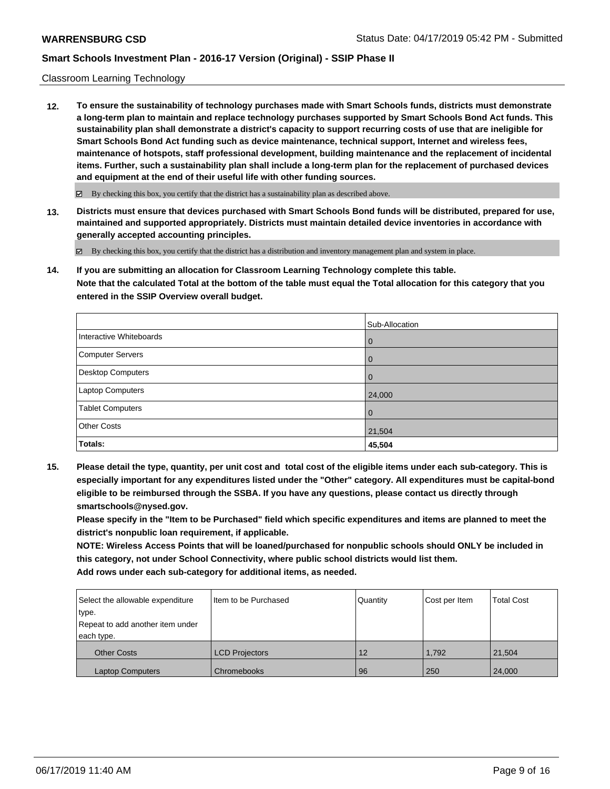#### Classroom Learning Technology

**12. To ensure the sustainability of technology purchases made with Smart Schools funds, districts must demonstrate a long-term plan to maintain and replace technology purchases supported by Smart Schools Bond Act funds. This sustainability plan shall demonstrate a district's capacity to support recurring costs of use that are ineligible for Smart Schools Bond Act funding such as device maintenance, technical support, Internet and wireless fees, maintenance of hotspots, staff professional development, building maintenance and the replacement of incidental items. Further, such a sustainability plan shall include a long-term plan for the replacement of purchased devices and equipment at the end of their useful life with other funding sources.**

 $\boxtimes$  By checking this box, you certify that the district has a sustainability plan as described above.

**13. Districts must ensure that devices purchased with Smart Schools Bond funds will be distributed, prepared for use, maintained and supported appropriately. Districts must maintain detailed device inventories in accordance with generally accepted accounting principles.**

By checking this box, you certify that the district has a distribution and inventory management plan and system in place.

**14. If you are submitting an allocation for Classroom Learning Technology complete this table. Note that the calculated Total at the bottom of the table must equal the Total allocation for this category that you entered in the SSIP Overview overall budget.**

|                         | Sub-Allocation |
|-------------------------|----------------|
| Interactive Whiteboards | $\overline{0}$ |
| Computer Servers        | $\overline{0}$ |
| Desktop Computers       | $\overline{0}$ |
| Laptop Computers        | 24,000         |
| <b>Tablet Computers</b> | $\overline{0}$ |
| <b>Other Costs</b>      | 21,504         |
| <b>Totals:</b>          | 45,504         |

**15. Please detail the type, quantity, per unit cost and total cost of the eligible items under each sub-category. This is especially important for any expenditures listed under the "Other" category. All expenditures must be capital-bond eligible to be reimbursed through the SSBA. If you have any questions, please contact us directly through smartschools@nysed.gov.**

**Please specify in the "Item to be Purchased" field which specific expenditures and items are planned to meet the district's nonpublic loan requirement, if applicable.**

**NOTE: Wireless Access Points that will be loaned/purchased for nonpublic schools should ONLY be included in this category, not under School Connectivity, where public school districts would list them. Add rows under each sub-category for additional items, as needed.**

| Select the allowable expenditure | I tem to be Purchased | Quantity | Cost per Item | Total Cost |
|----------------------------------|-----------------------|----------|---------------|------------|
| type.                            |                       |          |               |            |
| Repeat to add another item under |                       |          |               |            |
| each type.                       |                       |          |               |            |
| <b>Other Costs</b>               | <b>LCD Projectors</b> | 12       | 1.792         | 21.504     |
| <b>Laptop Computers</b>          | Chromebooks           | 96       | 250           | 24,000     |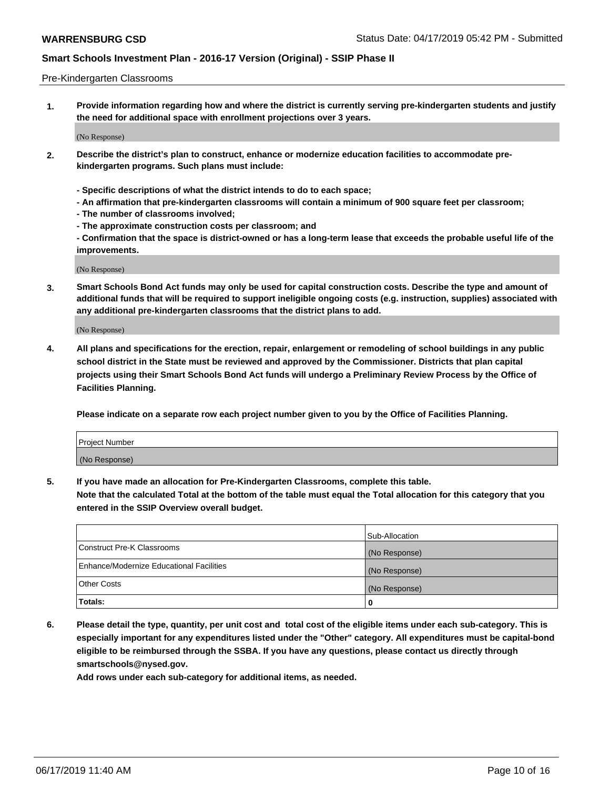#### Pre-Kindergarten Classrooms

**1. Provide information regarding how and where the district is currently serving pre-kindergarten students and justify the need for additional space with enrollment projections over 3 years.**

(No Response)

- **2. Describe the district's plan to construct, enhance or modernize education facilities to accommodate prekindergarten programs. Such plans must include:**
	- **Specific descriptions of what the district intends to do to each space;**
	- **An affirmation that pre-kindergarten classrooms will contain a minimum of 900 square feet per classroom;**
	- **The number of classrooms involved;**
	- **The approximate construction costs per classroom; and**
	- **Confirmation that the space is district-owned or has a long-term lease that exceeds the probable useful life of the improvements.**

(No Response)

**3. Smart Schools Bond Act funds may only be used for capital construction costs. Describe the type and amount of additional funds that will be required to support ineligible ongoing costs (e.g. instruction, supplies) associated with any additional pre-kindergarten classrooms that the district plans to add.**

(No Response)

**4. All plans and specifications for the erection, repair, enlargement or remodeling of school buildings in any public school district in the State must be reviewed and approved by the Commissioner. Districts that plan capital projects using their Smart Schools Bond Act funds will undergo a Preliminary Review Process by the Office of Facilities Planning.**

**Please indicate on a separate row each project number given to you by the Office of Facilities Planning.**

| Project Number |  |
|----------------|--|
| (No Response)  |  |
|                |  |

**5. If you have made an allocation for Pre-Kindergarten Classrooms, complete this table.**

**Note that the calculated Total at the bottom of the table must equal the Total allocation for this category that you entered in the SSIP Overview overall budget.**

|                                          | Sub-Allocation |
|------------------------------------------|----------------|
| Construct Pre-K Classrooms               | (No Response)  |
| Enhance/Modernize Educational Facilities | (No Response)  |
| <b>Other Costs</b>                       | (No Response)  |
| Totals:                                  | 0              |

**6. Please detail the type, quantity, per unit cost and total cost of the eligible items under each sub-category. This is especially important for any expenditures listed under the "Other" category. All expenditures must be capital-bond eligible to be reimbursed through the SSBA. If you have any questions, please contact us directly through smartschools@nysed.gov.**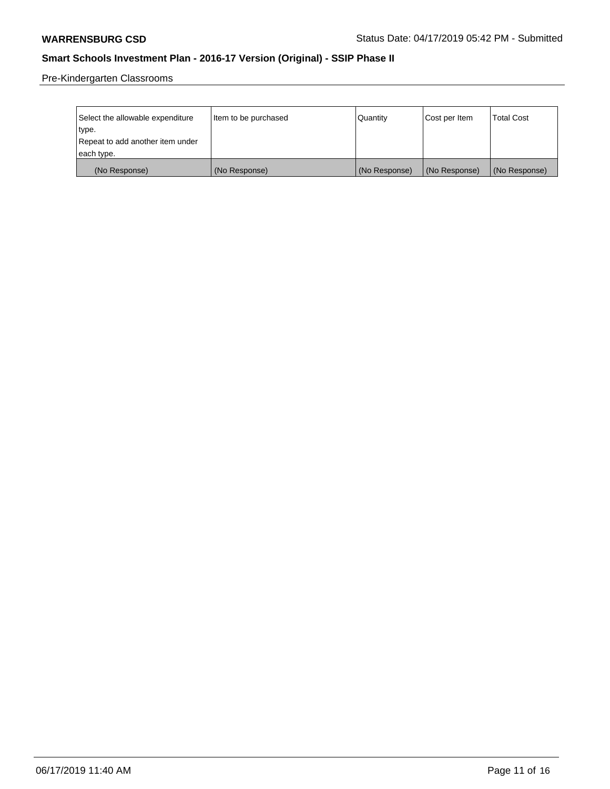Pre-Kindergarten Classrooms

| Select the allowable expenditure | Item to be purchased | Quantity      | Cost per Item | <b>Total Cost</b> |
|----------------------------------|----------------------|---------------|---------------|-------------------|
| type.                            |                      |               |               |                   |
| Repeat to add another item under |                      |               |               |                   |
| each type.                       |                      |               |               |                   |
| (No Response)                    | (No Response)        | (No Response) | (No Response) | (No Response)     |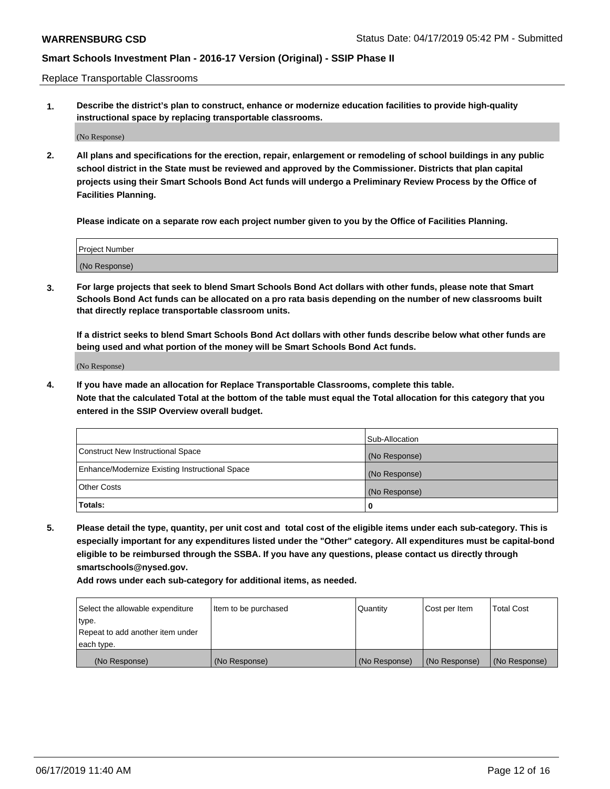Replace Transportable Classrooms

**1. Describe the district's plan to construct, enhance or modernize education facilities to provide high-quality instructional space by replacing transportable classrooms.**

(No Response)

**2. All plans and specifications for the erection, repair, enlargement or remodeling of school buildings in any public school district in the State must be reviewed and approved by the Commissioner. Districts that plan capital projects using their Smart Schools Bond Act funds will undergo a Preliminary Review Process by the Office of Facilities Planning.**

**Please indicate on a separate row each project number given to you by the Office of Facilities Planning.**

| Project Number |  |
|----------------|--|
|                |  |
|                |  |
|                |  |
|                |  |
| (No Response)  |  |
|                |  |
|                |  |
|                |  |

**3. For large projects that seek to blend Smart Schools Bond Act dollars with other funds, please note that Smart Schools Bond Act funds can be allocated on a pro rata basis depending on the number of new classrooms built that directly replace transportable classroom units.**

**If a district seeks to blend Smart Schools Bond Act dollars with other funds describe below what other funds are being used and what portion of the money will be Smart Schools Bond Act funds.**

(No Response)

**4. If you have made an allocation for Replace Transportable Classrooms, complete this table. Note that the calculated Total at the bottom of the table must equal the Total allocation for this category that you entered in the SSIP Overview overall budget.**

|                                                | Sub-Allocation |
|------------------------------------------------|----------------|
| Construct New Instructional Space              | (No Response)  |
| Enhance/Modernize Existing Instructional Space | (No Response)  |
| <b>Other Costs</b>                             | (No Response)  |
| Totals:                                        | 0              |

**5. Please detail the type, quantity, per unit cost and total cost of the eligible items under each sub-category. This is especially important for any expenditures listed under the "Other" category. All expenditures must be capital-bond eligible to be reimbursed through the SSBA. If you have any questions, please contact us directly through smartschools@nysed.gov.**

| Select the allowable expenditure | Item to be purchased | l Quantitv    | Cost per Item | <b>Total Cost</b> |
|----------------------------------|----------------------|---------------|---------------|-------------------|
| type.                            |                      |               |               |                   |
| Repeat to add another item under |                      |               |               |                   |
| each type.                       |                      |               |               |                   |
| (No Response)                    | (No Response)        | (No Response) | (No Response) | (No Response)     |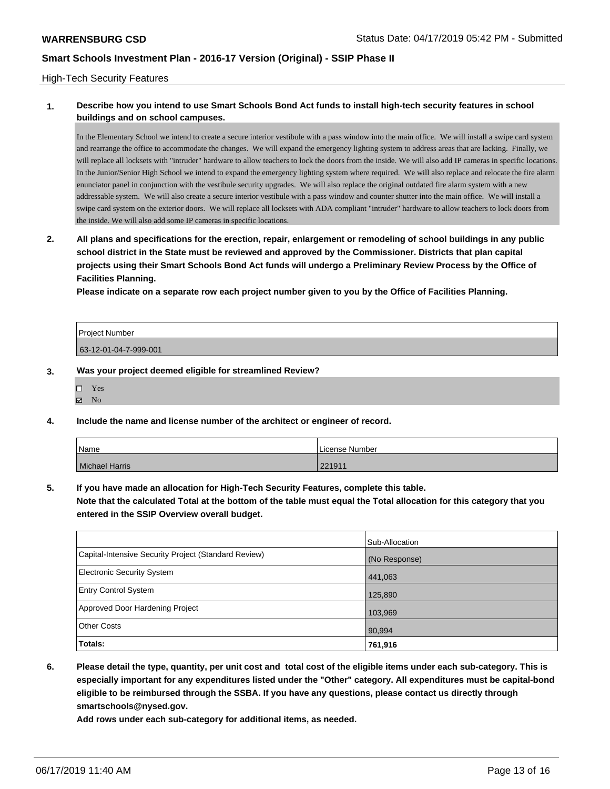#### High-Tech Security Features

### **1. Describe how you intend to use Smart Schools Bond Act funds to install high-tech security features in school buildings and on school campuses.**

In the Elementary School we intend to create a secure interior vestibule with a pass window into the main office. We will install a swipe card system and rearrange the office to accommodate the changes. We will expand the emergency lighting system to address areas that are lacking. Finally, we will replace all locksets with "intruder" hardware to allow teachers to lock the doors from the inside. We will also add IP cameras in specific locations. In the Junior/Senior High School we intend to expand the emergency lighting system where required. We will also replace and relocate the fire alarm enunciator panel in conjunction with the vestibule security upgrades. We will also replace the original outdated fire alarm system with a new addressable system. We will also create a secure interior vestibule with a pass window and counter shutter into the main office. We will install a swipe card system on the exterior doors. We will replace all locksets with ADA compliant "intruder" hardware to allow teachers to lock doors from the inside. We will also add some IP cameras in specific locations.

**2. All plans and specifications for the erection, repair, enlargement or remodeling of school buildings in any public school district in the State must be reviewed and approved by the Commissioner. Districts that plan capital projects using their Smart Schools Bond Act funds will undergo a Preliminary Review Process by the Office of Facilities Planning.** 

**Please indicate on a separate row each project number given to you by the Office of Facilities Planning.**

| <b>Project Number</b> |  |
|-----------------------|--|
| 63-12-01-04-7-999-001 |  |

#### **3. Was your project deemed eligible for streamlined Review?**

| п | Yes |
|---|-----|
| 罓 | Nο  |

**4. Include the name and license number of the architect or engineer of record.**

| Name           | License Number |
|----------------|----------------|
| Michael Harris | 221911         |

**5. If you have made an allocation for High-Tech Security Features, complete this table.**

**Note that the calculated Total at the bottom of the table must equal the Total allocation for this category that you entered in the SSIP Overview overall budget.**

|                                                      | Sub-Allocation |
|------------------------------------------------------|----------------|
| Capital-Intensive Security Project (Standard Review) | (No Response)  |
| Electronic Security System                           | 441,063        |
| <b>Entry Control System</b>                          | 125,890        |
| Approved Door Hardening Project                      | 103,969        |
| <b>Other Costs</b>                                   | 90,994         |
| Totals:                                              | 761,916        |

**6. Please detail the type, quantity, per unit cost and total cost of the eligible items under each sub-category. This is especially important for any expenditures listed under the "Other" category. All expenditures must be capital-bond eligible to be reimbursed through the SSBA. If you have any questions, please contact us directly through smartschools@nysed.gov.**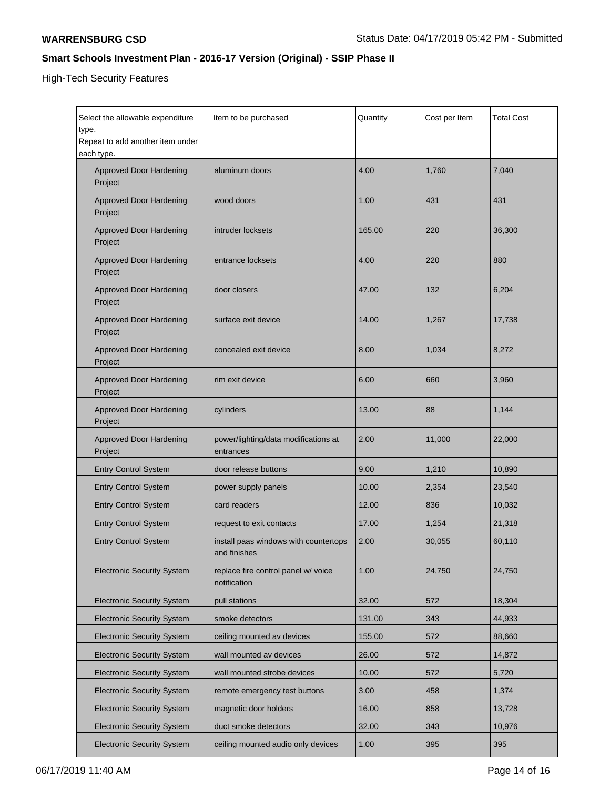High-Tech Security Features

| Select the allowable expenditure<br>type.<br>Repeat to add another item under<br>each type. | Item to be purchased                                  | Quantity | Cost per Item | <b>Total Cost</b> |
|---------------------------------------------------------------------------------------------|-------------------------------------------------------|----------|---------------|-------------------|
| Approved Door Hardening<br>Project                                                          | aluminum doors                                        | 4.00     | 1,760         | 7,040             |
| <b>Approved Door Hardening</b><br>Project                                                   | wood doors                                            | 1.00     | 431           | 431               |
| <b>Approved Door Hardening</b><br>Project                                                   | intruder locksets                                     | 165.00   | 220           | 36,300            |
| <b>Approved Door Hardening</b><br>Project                                                   | entrance locksets                                     | 4.00     | 220           | 880               |
| <b>Approved Door Hardening</b><br>Project                                                   | door closers                                          | 47.00    | 132           | 6,204             |
| <b>Approved Door Hardening</b><br>Project                                                   | surface exit device                                   | 14.00    | 1,267         | 17,738            |
| <b>Approved Door Hardening</b><br>Project                                                   | concealed exit device                                 | 8.00     | 1,034         | 8,272             |
| <b>Approved Door Hardening</b><br>Project                                                   | rim exit device                                       | 6.00     | 660           | 3,960             |
| <b>Approved Door Hardening</b><br>Project                                                   | cylinders                                             | 13.00    | 88            | 1,144             |
| <b>Approved Door Hardening</b><br>Project                                                   | power/lighting/data modifications at<br>entrances     | 2.00     | 11,000        | 22,000            |
| <b>Entry Control System</b>                                                                 | door release buttons                                  | 9.00     | 1,210         | 10,890            |
| <b>Entry Control System</b>                                                                 | power supply panels                                   | 10.00    | 2,354         | 23,540            |
| <b>Entry Control System</b>                                                                 | card readers                                          | 12.00    | 836           | 10,032            |
| <b>Entry Control System</b>                                                                 | request to exit contacts                              | 17.00    | 1,254         | 21,318            |
| <b>Entry Control System</b>                                                                 | install paas windows with countertops<br>and finishes | 2.00     | 30,055        | 60,110            |
| <b>Electronic Security System</b>                                                           | replace fire control panel w/ voice<br>notification   | 1.00     | 24,750        | 24,750            |
| <b>Electronic Security System</b>                                                           | pull stations                                         | 32.00    | 572           | 18,304            |
| <b>Electronic Security System</b>                                                           | smoke detectors                                       | 131.00   | 343           | 44,933            |
| <b>Electronic Security System</b>                                                           | ceiling mounted av devices                            | 155.00   | 572           | 88,660            |
| <b>Electronic Security System</b>                                                           | wall mounted av devices                               | 26.00    | 572           | 14,872            |
| <b>Electronic Security System</b>                                                           | wall mounted strobe devices                           | 10.00    | 572           | 5,720             |
| <b>Electronic Security System</b>                                                           | remote emergency test buttons                         | 3.00     | 458           | 1,374             |
| <b>Electronic Security System</b>                                                           | magnetic door holders                                 | 16.00    | 858           | 13,728            |
| <b>Electronic Security System</b>                                                           | duct smoke detectors                                  | 32.00    | 343           | 10,976            |
| <b>Electronic Security System</b>                                                           | ceiling mounted audio only devices                    | 1.00     | 395           | 395               |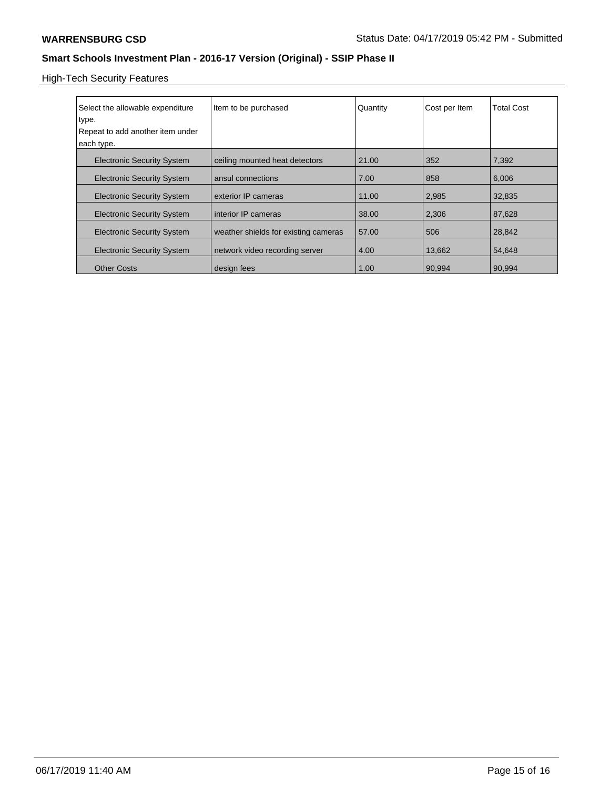# High-Tech Security Features

| Select the allowable expenditure  | Item to be purchased                 | Quantity | Cost per Item | <b>Total Cost</b> |
|-----------------------------------|--------------------------------------|----------|---------------|-------------------|
| type.                             |                                      |          |               |                   |
| Repeat to add another item under  |                                      |          |               |                   |
| each type.                        |                                      |          |               |                   |
| <b>Electronic Security System</b> | ceiling mounted heat detectors       | 21.00    | 352           | 7.392             |
| <b>Electronic Security System</b> | ansul connections                    | 7.00     | 858           | 6,006             |
| <b>Electronic Security System</b> | exterior IP cameras                  | 11.00    | 2,985         | 32,835            |
| <b>Electronic Security System</b> | interior IP cameras                  | 38.00    | 2,306         | 87,628            |
| <b>Electronic Security System</b> | weather shields for existing cameras | 57.00    | 506           | 28,842            |
| <b>Electronic Security System</b> | network video recording server       | 4.00     | 13,662        | 54,648            |
| <b>Other Costs</b>                | design fees                          | 1.00     | 90.994        | 90.994            |